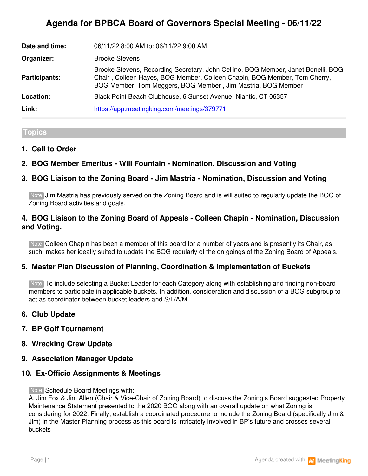| Date and time:       | 06/11/22 8:00 AM to: 06/11/22 9:00 AM                                                                                                                                                                                          |
|----------------------|--------------------------------------------------------------------------------------------------------------------------------------------------------------------------------------------------------------------------------|
| Organizer:           | <b>Brooke Stevens</b>                                                                                                                                                                                                          |
| <b>Participants:</b> | Brooke Stevens, Recording Secretary, John Cellino, BOG Member, Janet Bonelli, BOG<br>Chair, Colleen Hayes, BOG Member, Colleen Chapin, BOG Member, Tom Cherry,<br>BOG Member, Tom Meggers, BOG Member, Jim Mastria, BOG Member |
| Location:            | Black Point Beach Clubhouse, 6 Sunset Avenue, Niantic, CT 06357                                                                                                                                                                |
| Link:                | https://app.meetingking.com/meetings/379771                                                                                                                                                                                    |

#### **Topics**

#### **1. Call to Order**

# **2. BOG Member Emeritus - Will Fountain - Nomination, Discussion and Voting**

# **3. BOG Liaison to the Zoning Board - Jim Mastria - Nomination, Discussion and Voting**

Note Jim Mastria has previously served on the Zoning Board and is will suited to regularly update the BOG of Zoning Board activities and goals.

### **4. BOG Liaison to the Zoning Board of Appeals - Colleen Chapin - Nomination, Discussion and Voting.**

Note Colleen Chapin has been a member of this board for a number of years and is presently its Chair, as such, makes her ideally suited to update the BOG regularly of the on goings of the Zoning Board of Appeals.

## **5. Master Plan Discussion of Planning, Coordination & Implementation of Buckets**

Note To include selecting a Bucket Leader for each Category along with establishing and finding non-board members to participate in applicable buckets. In addition, consideration and discussion of a BOG subgroup to act as coordinator between bucket leaders and S/L/A/M.

#### **6. Club Update**

#### **7. BP Golf Tournament**

- **8. Wrecking Crew Update**
- **9. Association Manager Update**

#### **10. Ex-Officio Assignments & Meetings**

Note Schedule Board Meetings with:

A. Jim Fox & Jim Allen (Chair & Vice-Chair of Zoning Board) to discuss the Zoning's Board suggested Property Maintenance Statement presented to the 2020 BOG along with an overall update on what Zoning is considering for 2022. Finally, establish a coordinated procedure to include the Zoning Board (specifically Jim & Jim) in the Master Planning process as this board is intricately involved in BP's future and crosses several buckets